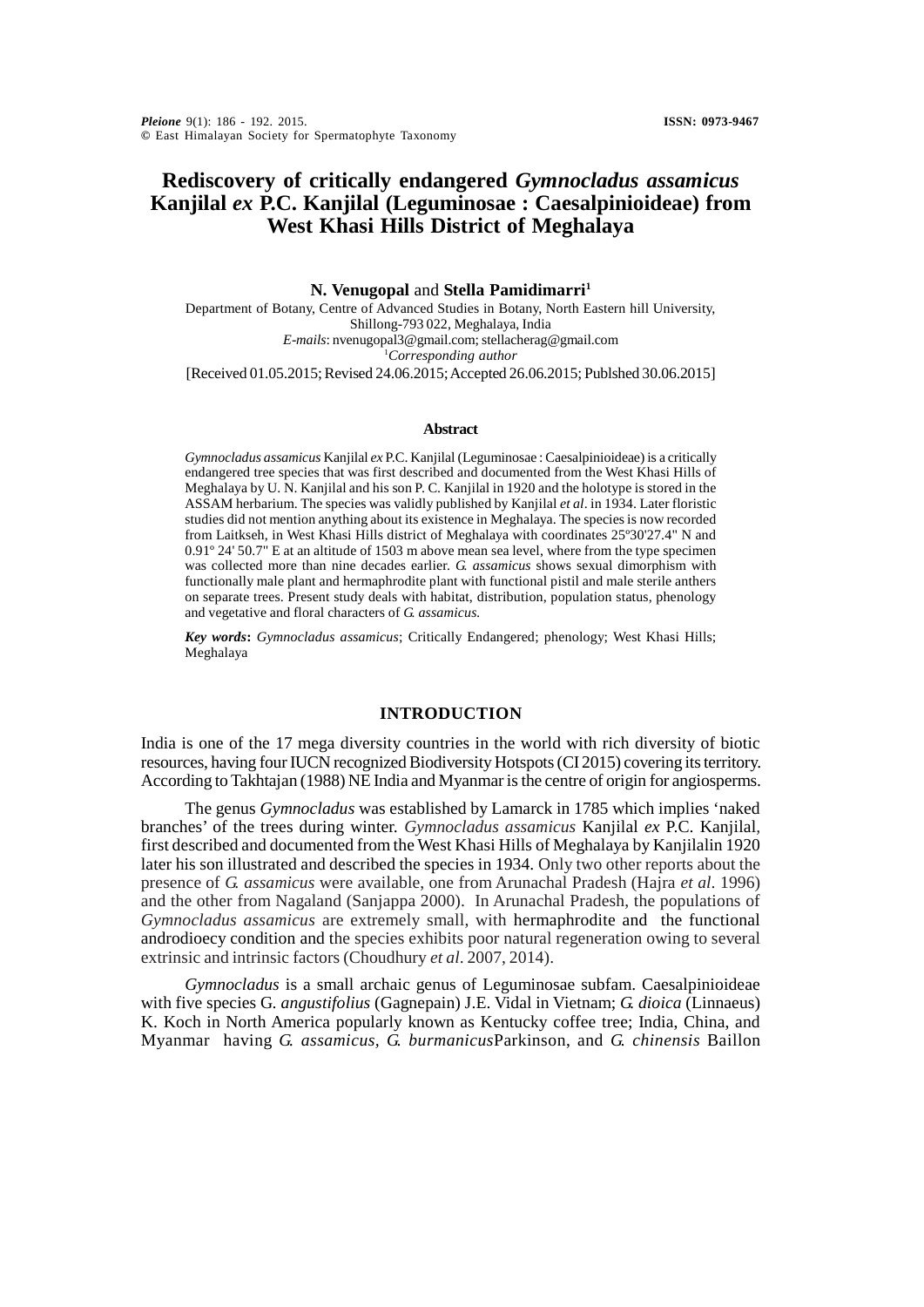# **Rediscovery of critically endangered** *Gymnocladus assamicus* **Kanjilal** *ex* **P.C. Kanjilal (Leguminosae : Caesalpinioideae) from West Khasi Hills District of Meghalaya**

**N. Venugopal** and **Stella Pamidimarri<sup>1</sup>** Department of Botany, Centre of Advanced Studies in Botany, North Eastern hill University, Shillong-793 022, Meghalaya, India *E-mails*: nvenugopal3@gmail.com; stellacherag@gmail.com <sup>1</sup>*Corresponding author* [Received 01.05.2015; Revised 24.06.2015; Accepted 26.06.2015; Publshed 30.06.2015]

#### **Abstract**

*Gymnocladus assamicus* Kanjilal *ex* P.C. Kanjilal (Leguminosae : Caesalpinioideae) is a critically endangered tree species that was first described and documented from the West Khasi Hills of Meghalaya by U. N. Kanjilal and his son P. C. Kanjilal in 1920 and the holotype is stored in the ASSAM herbarium. The species was validly published by Kanjilal *et al*. in 1934. Later floristic studies did not mention anything about its existence in Meghalaya. The species is now recorded from Laitkseh, in West Khasi Hills district of Meghalaya with coordinates 25º30'27.4" N and 0.91º 24' 50.7" E at an altitude of 1503 m above mean sea level, where from the type specimen was collected more than nine decades earlier. *G. assamicus* shows sexual dimorphism with functionally male plant and hermaphrodite plant with functional pistil and male sterile anthers on separate trees. Present study deals with habitat, distribution, population status, phenology and vegetative and floral characters of *G. assamicus.*

*Key words***:** *Gymnocladus assamicus*; Critically Endangered; phenology; West Khasi Hills; Meghalaya

### **INTRODUCTION**

India is one of the 17 mega diversity countries in the world with rich diversity of biotic resources, having four IUCN recognized Biodiversity Hotspots (CI 2015) covering its territory. According to Takhtajan (1988) NE India and Myanmar is the centre of origin for angiosperms.

The genus *Gymnocladus* was established by Lamarck in 1785 which implies 'naked branches' of the trees during winter. *Gymnocladus assamicus* Kanjilal *ex* P.C. Kanjilal*,* first described and documented from the West Khasi Hills of Meghalaya by Kanjilalin 1920 later his son illustrated and described the species in 1934. Only two other reports about the presence of *G. assamicus* were available, one from Arunachal Pradesh (Hajra *et al*. 1996) and the other from Nagaland (Sanjappa 2000). In Arunachal Pradesh, the populations of *Gymnocladus assamicus* are extremely small, with hermaphrodite and the functional androdioecy condition and the species exhibits poor natural regeneration owing to several extrinsic and intrinsic factors (Choudhury *et al*. 2007, 2014).

*Gymnocladus* is a small archaic genus of Leguminosae subfam. Caesalpinioideae with five species G*. angustifolius* (Gagnepain) J.E. Vidal in Vietnam; *G. dioica* (Linnaeus) K. Koch in North America popularly known as Kentucky coffee tree; India, China, and Myanmar having *G. assamicus, G. burmanicus*Parkinson, and *G. chinensis* Baillon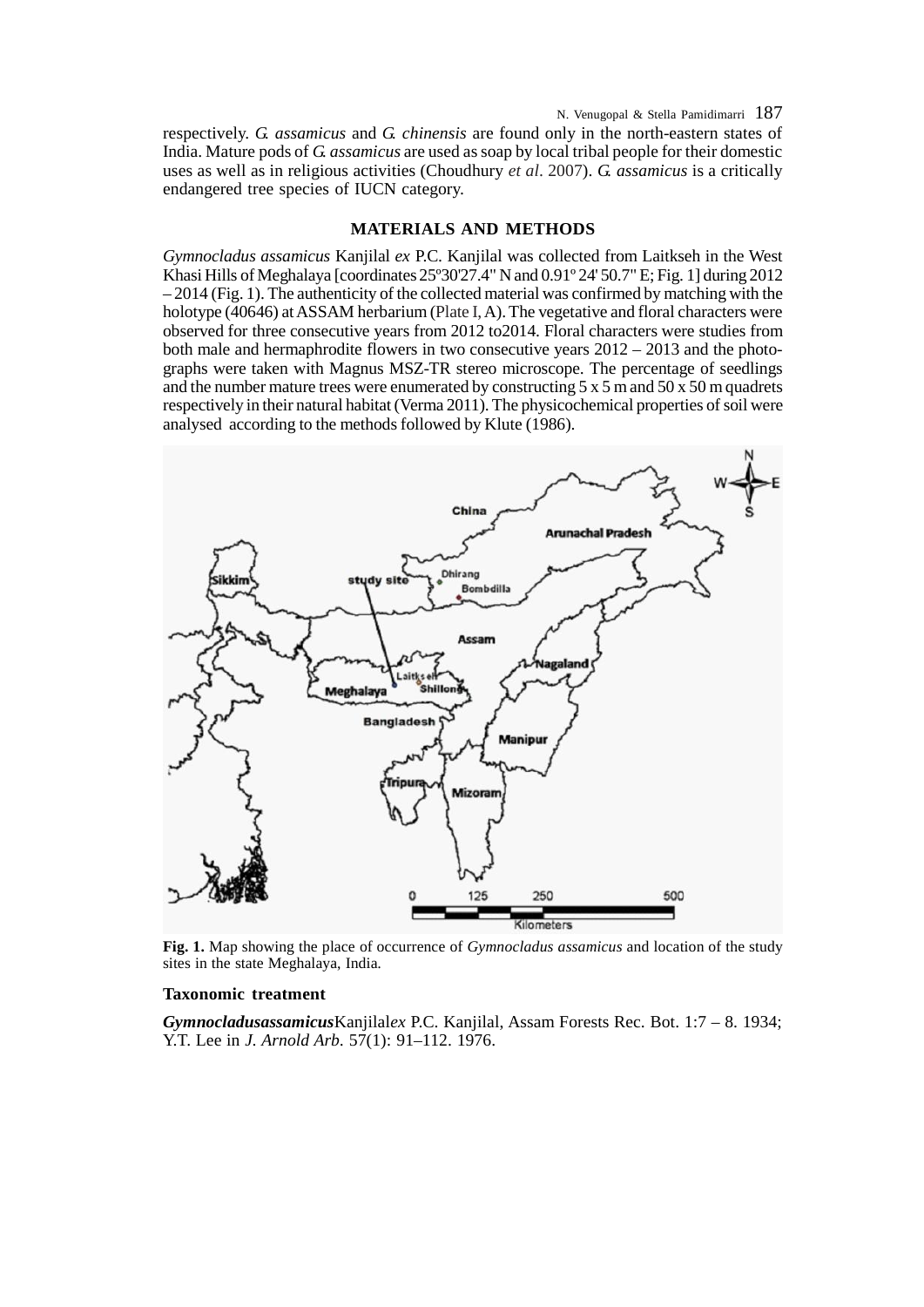N. Venugopal & Stella Pamidimarri 187

respectively. *G. assamicus* and *G. chinensis* are found only in the north-eastern states of India. Mature pods of *G. assamicus* are used as soap by local tribal people for their domestic uses as well as in religious activities (Choudhury *et al*. 2007). *G. assamicus* is a critically endangered tree species of IUCN category.

#### **MATERIALS AND METHODS**

*Gymnocladus assamicus* Kanjilal *ex* P.C. Kanjilal was collected from Laitkseh in the West Khasi Hills of Meghalaya [coordinates 25º30'27.4" N and 0.91º 24' 50.7" E; Fig. 1] during 2012 – 2014 (Fig. 1). The authenticity of the collected material was confirmed by matching with the holotype (40646) at ASSAM herbarium (Plate I,A). The vegetative and floral characters were observed for three consecutive years from 2012 to2014. Floral characters were studies from both male and hermaphrodite flowers in two consecutive years  $2012 - 2013$  and the photographs were taken with Magnus MSZ-TR stereo microscope. The percentage of seedlings and the number mature trees were enumerated by constructing  $5 \times 5$  m and  $50 \times 50$  m quadrets respectively in their natural habitat (Verma 2011). The physicochemical properties of soil were analysed according to the methods followed by Klute (1986).



**Fig. 1.** Map showing the place of occurrence of *Gymnocladus assamicus* and location of the study sites in the state Meghalaya, India*.*

## **Taxonomic treatment**

*Gymnocladusassamicus*Kanjilal*ex* P.C. Kanjilal, Assam Forests Rec. Bot. 1:7 – 8. 1934; Y.T. Lee in *J. Arnold Arb.* 57(1): 91–112. 1976.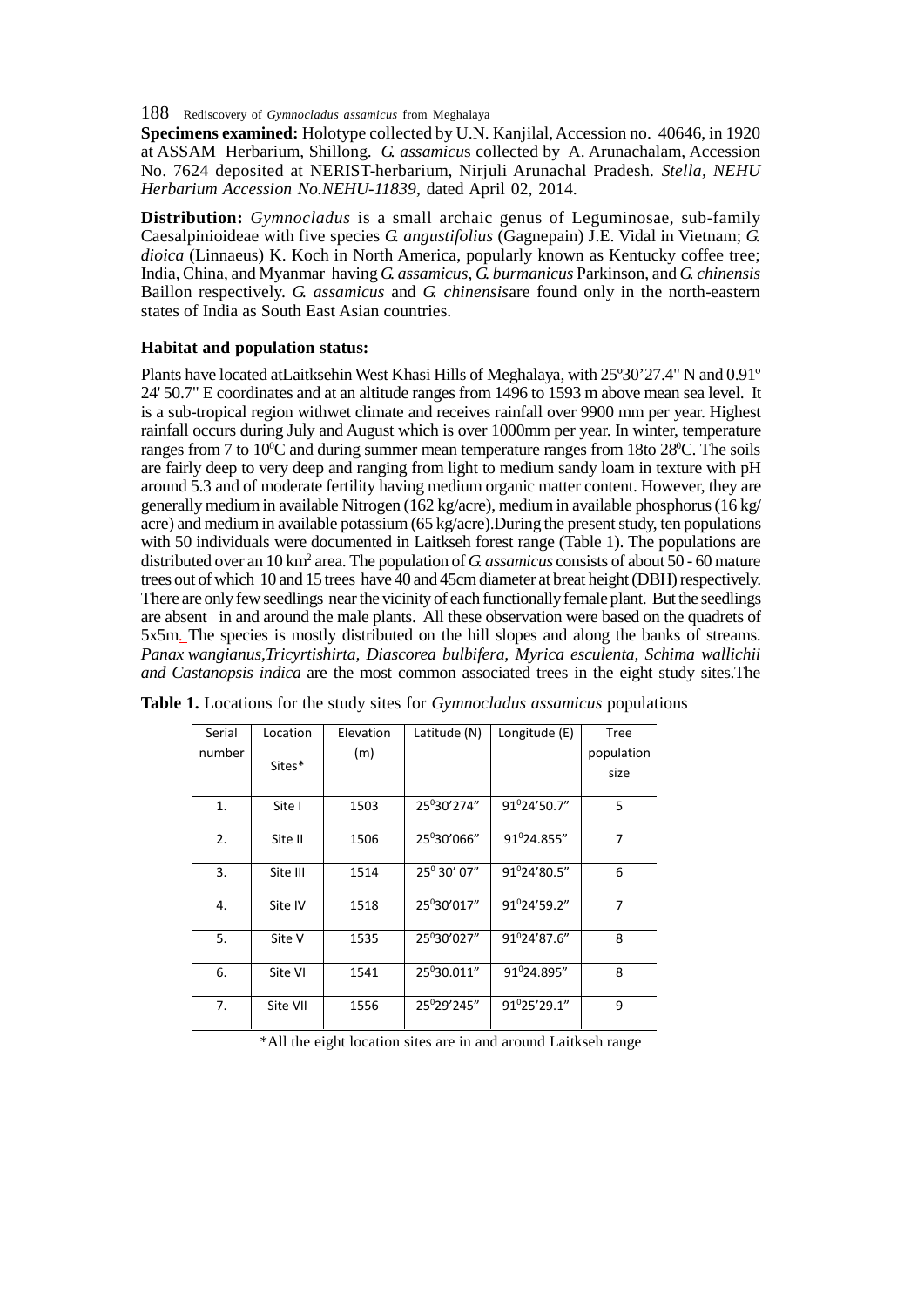188 Rediscovery of *Gymnocladus assamicus* from Meghalaya

**Specimens examined:** Holotype collected by U.N. Kanjilal, Accession no. 40646, in 1920 at ASSAM Herbarium, Shillong. *G. assamicu*s collected by A. Arunachalam, Accession No. 7624 deposited at NERIST-herbarium, Nirjuli Arunachal Pradesh. *Stella, NEHU Herbarium Accession No.NEHU-11839*, dated April 02, 2014.

**Distribution:** *Gymnocladus* is a small archaic genus of Leguminosae, sub-family Caesalpinioideae with five species *G. angustifolius* (Gagnepain) J.E. Vidal in Vietnam; *G. dioica* (Linnaeus) K. Koch in North America, popularly known as Kentucky coffee tree; India, China, and Myanmar having *G. assamicus, G. burmanicus* Parkinson, and *G. chinensis* Baillon respectively. *G. assamicus* and *G. chinensis*are found only in the north-eastern states of India as South East Asian countries.

# **Habitat and population status:**

Plants have located atLaitksehin West Khasi Hills of Meghalaya, with 25º30'27.4" N and 0.91º 24' 50.7" E coordinates and at an altitude ranges from 1496 to 1593 m above mean sea level. It is a sub-tropical region withwet climate and receives rainfall over 9900 mm per year. Highest rainfall occurs during July and August which is over 1000mm per year. In winter, temperature ranges from 7 to  $10^{\circ}$ C and during summer mean temperature ranges from 18to 28 $^{\circ}$ C. The soils are fairly deep to very deep and ranging from light to medium sandy loam in texture with pH around 5.3 and of moderate fertility having medium organic matter content. However, they are generally medium in available Nitrogen (162 kg/acre), medium in available phosphorus (16 kg/ acre) and medium in available potassium (65 kg/acre).During the present study, ten populations with 50 individuals were documented in Laitkseh forest range (Table 1). The populations are distributed over an 10 km<sup>2</sup> area. The population of *G assamicus* consists of about 50 - 60 mature trees out of which 10 and 15 trees have 40 and 45cm diameter at breat height (DBH) respectively. There are only few seedlings near the vicinity of each functionally female plant. But the seedlings are absent in and around the male plants. All these observation were based on the quadrets of 5x5m. The species is mostly distributed on the hill slopes and along the banks of streams. *Panax wangianus,Tricyrtishirta, Diascorea bulbifera, Myrica esculenta, Schima wallichii and Castanopsis indica* are the most common associated trees in the eight study sites.The

| Serial | Location | Elevation | Latitude (N)            | Longitude (E)   | <b>Tree</b>    |
|--------|----------|-----------|-------------------------|-----------------|----------------|
| number |          | (m)       |                         |                 | population     |
|        | Sites*   |           |                         |                 | size           |
| 1.     | Site I   | 1503      | 25°30'274"              | 91°24'50.7"     | 5              |
|        |          |           |                         |                 |                |
| 2.     | Site II  | 1506      | 25°30'066"              | 91°24.855"      | $\overline{7}$ |
| 3.     | Site III | 1514      | 25 <sup>0</sup> 30' 07" | 91°24'80.5"     | 6              |
|        |          |           |                         |                 |                |
| 4.     | Site IV  | 1518      | 25°30'017"              | 91º24'59.2"     | $\overline{7}$ |
| 5.     | Site V   | 1535      | 25°30'027"              | 91°24'87.6"     | 8              |
|        |          |           |                         |                 |                |
| 6.     | Site VI  | 1541      | 25 <sup>0</sup> 30.011" | 91°24.895"      | 8              |
|        |          |           |                         |                 |                |
| 7.     | Site VII | 1556      | 25 <sup>0</sup> 29'245" | $91^0$ 25'29.1" | 9              |

**Table 1.** Locations for the study sites for *Gymnocladus assamicus* populations

\*All the eight location sites are in and around Laitkseh range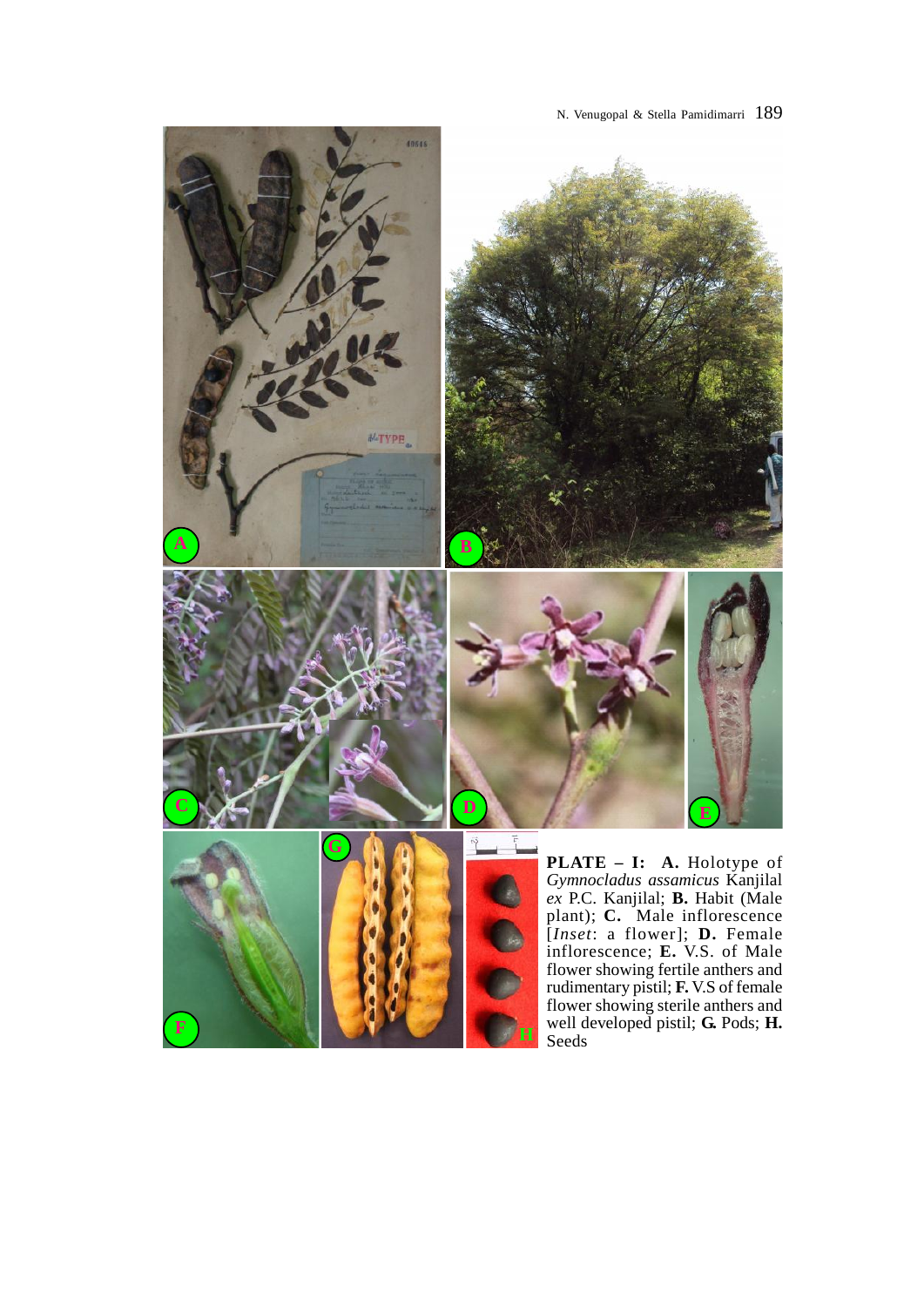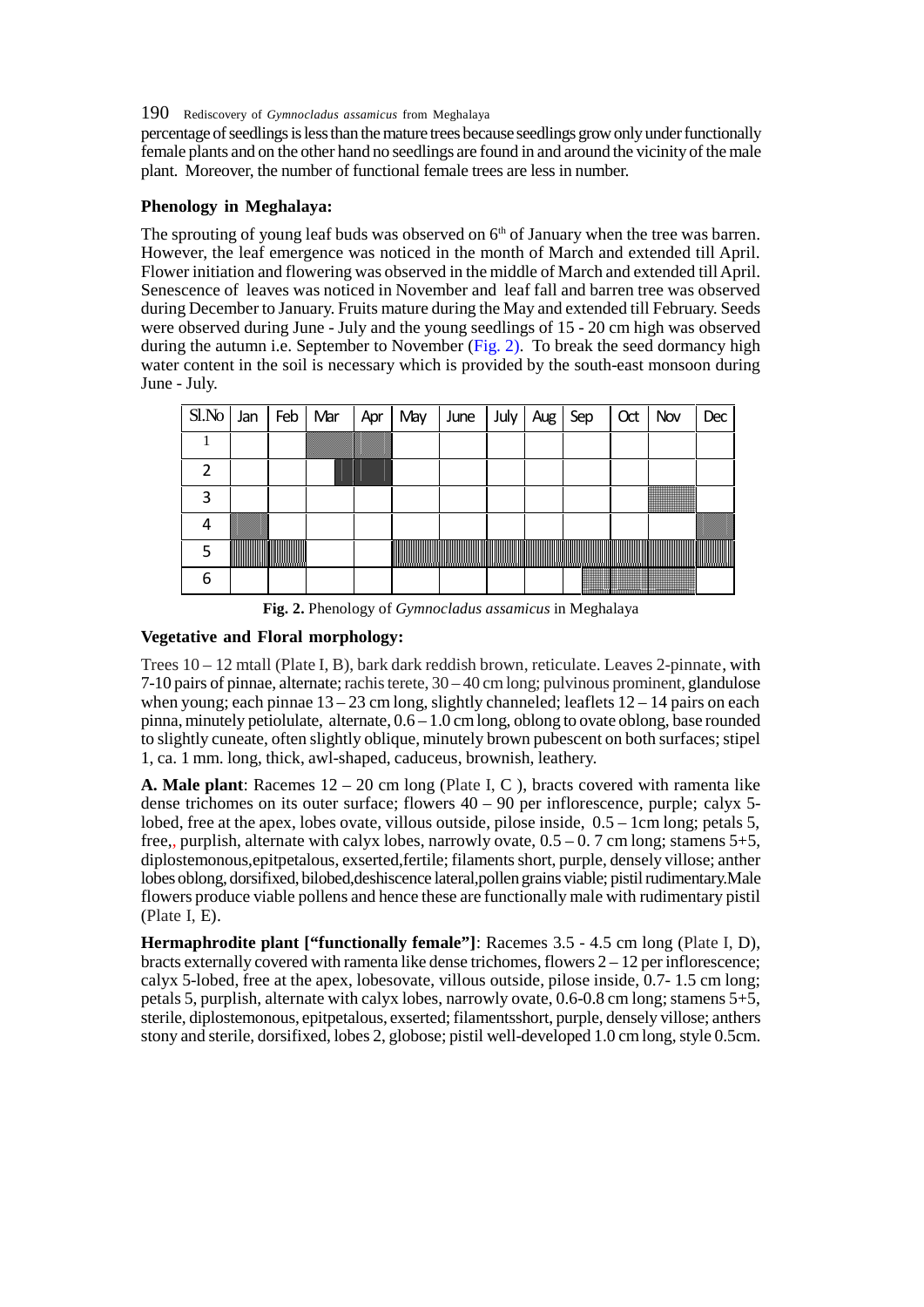# 190 Rediscovery of *Gymnocladus assamicus* from Meghalaya

percentage of seedlings is less than the mature trees because seedlings grow only under functionally female plants and on the other hand no seedlings are found in and around the vicinity of the male plant. Moreover, the number of functional female trees are less in number.

# **Phenology in Meghalaya:**

The sprouting of young leaf buds was observed on  $6<sup>th</sup>$  of January when the tree was barren. However, the leaf emergence was noticed in the month of March and extended till April. Flower initiation and flowering was observed in the middle of March and extended till April. Senescence of leaves was noticed in November and leaf fall and barren tree was observed during December to January. Fruits mature during the May and extended till February. Seeds were observed during June - July and the young seedlings of 15 - 20 cm high was observed during the autumn i.e. September to November (Fig. 2). To break the seed dormancy high water content in the soil is necessary which is provided by the south-east monsoon during June - July.

| Sl.No | Jan | Feb | Mar | Apr | May | June | July | Aug | ۶eη | Oct | Nov    | Dec         |
|-------|-----|-----|-----|-----|-----|------|------|-----|-----|-----|--------|-------------|
|       |     |     |     |     |     |      |      |     |     |     |        |             |
|       |     |     |     |     |     |      |      |     |     |     |        |             |
|       |     |     |     |     |     |      |      |     |     |     | $\Box$ |             |
|       |     |     |     |     |     |      |      |     |     |     |        |             |
|       |     |     |     |     | ║║  |      |      |     |     | ║   |        | <u>www.</u> |
|       |     |     |     |     |     |      |      |     |     |     |        |             |

**Fig. 2.** Phenology of *Gymnocladus assamicus* in Meghalaya

# **Vegetative and Floral morphology:**

Trees 10 – 12 mtall (Plate I, B), bark dark reddish brown, reticulate. Leaves 2-pinnate, with 7-10 pairs of pinnae, alternate; rachis terete, 30 – 40 cm long; pulvinous prominent, glandulose when young; each pinnae  $13 - 23$  cm long, slightly channeled; leaflets  $12 - 14$  pairs on each pinna, minutely petiolulate, alternate, 0.6 – 1.0 cm long, oblong to ovate oblong, base rounded to slightly cuneate, often slightly oblique, minutely brown pubescent on both surfaces; stipel 1, ca. 1 mm. long, thick, awl-shaped, caduceus, brownish, leathery.

**A. Male plant**: Racemes  $12 - 20$  cm long (Plate I, C), bracts covered with ramenta like dense trichomes on its outer surface; flowers 40 – 90 per inflorescence, purple; calyx 5 lobed, free at the apex, lobes ovate, villous outside, pilose inside,  $0.5 - 1$ cm long; petals 5, free,, purplish, alternate with calyx lobes, narrowly ovate,  $0.5 - 0.7$  cm long; stamens  $5+5$ , diplostemonous,epitpetalous, exserted,fertile; filaments short, purple, densely villose; anther lobes oblong, dorsifixed, bilobed,deshiscence lateral,pollen grains viable; pistil rudimentary.Male flowers produce viable pollens and hence these are functionally male with rudimentary pistil (Plate I, E).

**Hermaphrodite plant ["functionally female"]**: Racemes 3.5 - 4.5 cm long (Plate I, D), bracts externally covered with ramenta like dense trichomes, flowers  $2 - 12$  per inflorescence; calyx 5-lobed, free at the apex, lobesovate, villous outside, pilose inside, 0.7- 1.5 cm long; petals 5, purplish, alternate with calyx lobes, narrowly ovate, 0.6-0.8 cm long; stamens 5+5, sterile, diplostemonous, epitpetalous, exserted; filamentsshort, purple, densely villose; anthers stony and sterile, dorsifixed, lobes 2, globose; pistil well-developed 1.0 cm long, style 0.5cm.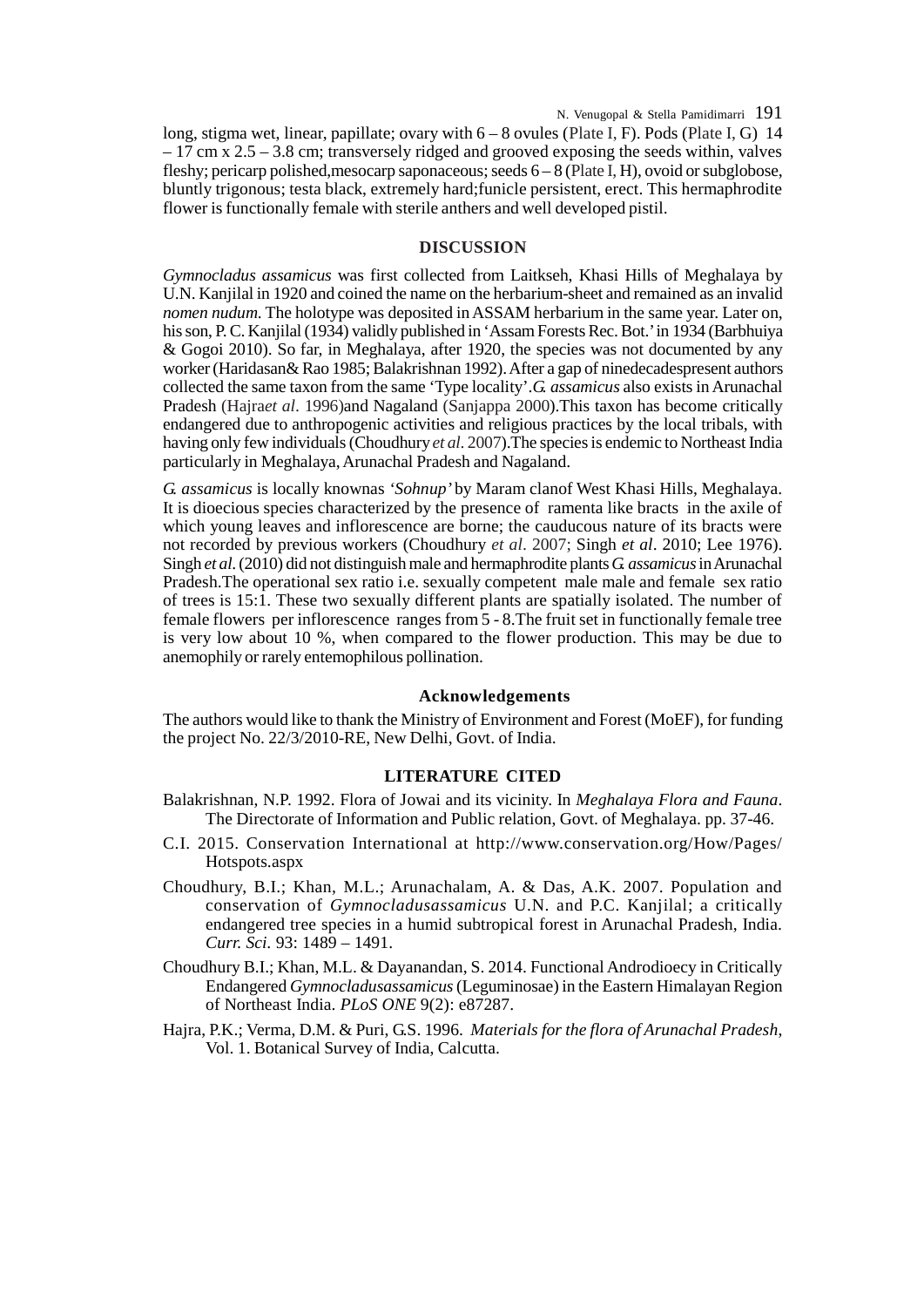long, stigma wet, linear, papillate; ovary with 6 – 8 ovules (Plate I, F). Pods (Plate I, G) 14  $-17$  cm x  $2.5 - 3.8$  cm; transversely ridged and grooved exposing the seeds within, valves fleshy; pericarp polished,mesocarp saponaceous; seeds 6 – 8 (Plate I, H), ovoid or subglobose, bluntly trigonous; testa black, extremely hard;funicle persistent, erect. This hermaphrodite flower is functionally female with sterile anthers and well developed pistil.

## **DISCUSSION**

*Gymnocladus assamicus* was first collected from Laitkseh, Khasi Hills of Meghalaya by U.N. Kanjilal in 1920 and coined the name on the herbarium-sheet and remained as an invalid *nomen nudum*. The holotype was deposited in ASSAM herbarium in the same year. Later on, his son, P. C. Kanjilal (1934) validly published in 'Assam Forests Rec. Bot.' in 1934 (Barbhuiya & Gogoi 2010). So far, in Meghalaya, after 1920, the species was not documented by any worker (Haridasan& Rao 1985; Balakrishnan 1992). After a gap of ninedecadespresent authors collected the same taxon from the same 'Type locality'.*G. assamicus* also exists in Arunachal Pradesh (Hajra*et al*. 1996)and Nagaland (Sanjappa 2000).This taxon has become critically endangered due to anthropogenic activities and religious practices by the local tribals, with having only few individuals (Choudhury *et al*. 2007).The species is endemic to Northeast India particularly in Meghalaya, Arunachal Pradesh and Nagaland.

*G. assamicus* is locally knownas *'Sohnup'* by Maram clanof West Khasi Hills, Meghalaya. It is dioecious species characterized by the presence of ramenta like bracts in the axile of which young leaves and inflorescence are borne; the cauducous nature of its bracts were not recorded by previous workers (Choudhury *et al*. 2007; Singh *et al*. 2010; Lee 1976). Singh *et al*. (2010) did not distinguish male and hermaphrodite plants*G. assamicus* in Arunachal Pradesh.The operational sex ratio i.e. sexually competent male male and female sex ratio of trees is 15:1. These two sexually different plants are spatially isolated. The number of female flowers per inflorescence ranges from 5 - 8.The fruit set in functionally female tree is very low about 10 %, when compared to the flower production. This may be due to anemophily or rarely entemophilous pollination.

#### **Acknowledgements**

The authors would like to thank the Ministry of Environment and Forest (MoEF), for funding the project No. 22/3/2010-RE, New Delhi, Govt. of India.

## **LITERATURE CITED**

- Balakrishnan, N.P. 1992. Flora of Jowai and its vicinity. In *Meghalaya Flora and Fauna*. The Directorate of Information and Public relation, Govt. of Meghalaya. pp. 37-46.
- C.I. 2015. Conservation International at http://www.conservation.org/How/Pages/ Hotspots.aspx
- Choudhury, B.I.; Khan, M.L.; Arunachalam, A. & Das, A.K. 2007. Population and conservation of *Gymnocladusassamicus* U.N. and P.C. Kanjilal; a critically endangered tree species in a humid subtropical forest in Arunachal Pradesh, India. *Curr. Sci.* 93: 1489 – 1491.
- Choudhury B.I.; Khan, M.L. & Dayanandan, S. 2014. Functional Androdioecy in Critically Endangered *Gymnocladusassamicus* (Leguminosae) in the Eastern Himalayan Region of Northeast India. *PLoS ONE* 9(2): e87287.
- Hajra, P.K.; Verma, D.M. & Puri, G.S. 1996. *Materials for the flora of Arunachal Pradesh*, Vol. 1. Botanical Survey of India, Calcutta.